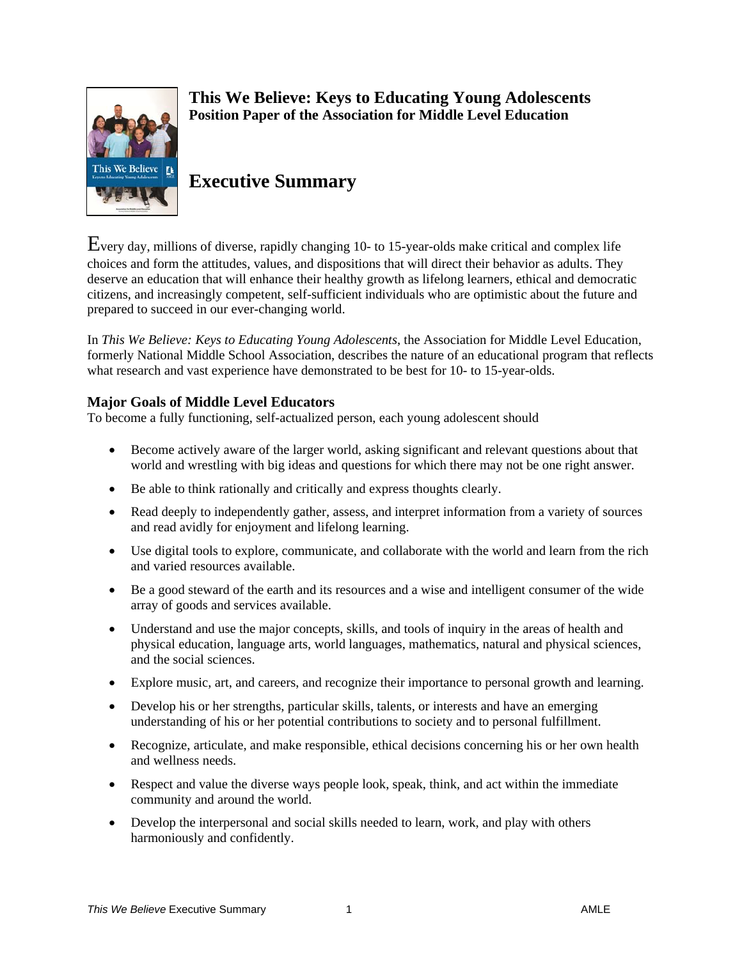

# **This We Believe: Keys to Educating Young Adolescents Position Paper of the Association for Middle Level Education**

**Executive Summary** 

Every day, millions of diverse, rapidly changing 10- to 15-year-olds make critical and complex life choices and form the attitudes, values, and dispositions that will direct their behavior as adults. They deserve an education that will enhance their healthy growth as lifelong learners, ethical and democratic citizens, and increasingly competent, self-sufficient individuals who are optimistic about the future and prepared to succeed in our ever-changing world.

In *This We Believe: Keys to Educating Young Adolescents*, the Association for Middle Level Education, formerly National Middle School Association, describes the nature of an educational program that reflects what research and vast experience have demonstrated to be best for 10- to 15-year-olds.

# **Major Goals of Middle Level Educators**

To become a fully functioning, self-actualized person, each young adolescent should

- Become actively aware of the larger world, asking significant and relevant questions about that world and wrestling with big ideas and questions for which there may not be one right answer.
- Be able to think rationally and critically and express thoughts clearly.
- Read deeply to independently gather, assess, and interpret information from a variety of sources and read avidly for enjoyment and lifelong learning.
- Use digital tools to explore, communicate, and collaborate with the world and learn from the rich and varied resources available.
- Be a good steward of the earth and its resources and a wise and intelligent consumer of the wide array of goods and services available.
- Understand and use the major concepts, skills, and tools of inquiry in the areas of health and physical education, language arts, world languages, mathematics, natural and physical sciences, and the social sciences.
- Explore music, art, and careers, and recognize their importance to personal growth and learning.
- Develop his or her strengths, particular skills, talents, or interests and have an emerging understanding of his or her potential contributions to society and to personal fulfillment.
- Recognize, articulate, and make responsible, ethical decisions concerning his or her own health and wellness needs.
- Respect and value the diverse ways people look, speak, think, and act within the immediate community and around the world.
- Develop the interpersonal and social skills needed to learn, work, and play with others harmoniously and confidently.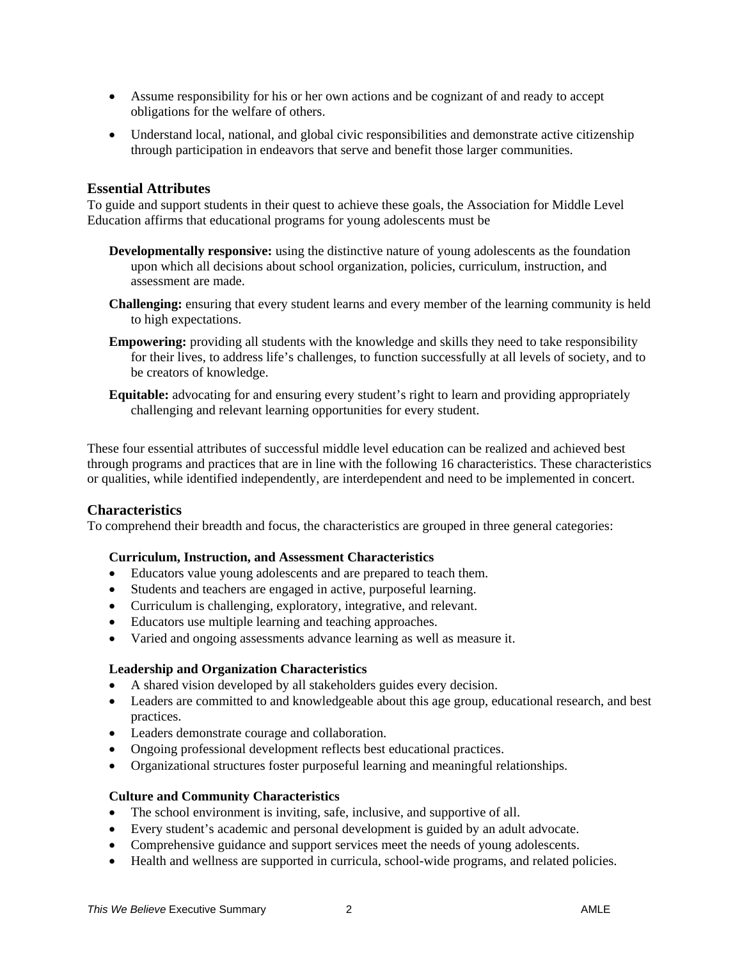- Assume responsibility for his or her own actions and be cognizant of and ready to accept obligations for the welfare of others.
- Understand local, national, and global civic responsibilities and demonstrate active citizenship through participation in endeavors that serve and benefit those larger communities.

#### **Essential Attributes**

To guide and support students in their quest to achieve these goals, the Association for Middle Level Education affirms that educational programs for young adolescents must be

- **Developmentally responsive:** using the distinctive nature of young adolescents as the foundation upon which all decisions about school organization, policies, curriculum, instruction, and assessment are made.
- **Challenging:** ensuring that every student learns and every member of the learning community is held to high expectations.
- **Empowering:** providing all students with the knowledge and skills they need to take responsibility for their lives, to address life's challenges, to function successfully at all levels of society, and to be creators of knowledge.
- **Equitable:** advocating for and ensuring every student's right to learn and providing appropriately challenging and relevant learning opportunities for every student.

These four essential attributes of successful middle level education can be realized and achieved best through programs and practices that are in line with the following 16 characteristics. These characteristics or qualities, while identified independently, are interdependent and need to be implemented in concert.

# **Characteristics**

To comprehend their breadth and focus, the characteristics are grouped in three general categories:

#### **Curriculum, Instruction, and Assessment Characteristics**

- Educators value young adolescents and are prepared to teach them.
- Students and teachers are engaged in active, purposeful learning.
- Curriculum is challenging, exploratory, integrative, and relevant.
- Educators use multiple learning and teaching approaches.
- Varied and ongoing assessments advance learning as well as measure it.

#### **Leadership and Organization Characteristics**

- A shared vision developed by all stakeholders guides every decision.
- Leaders are committed to and knowledgeable about this age group, educational research, and best practices.
- Leaders demonstrate courage and collaboration.
- Ongoing professional development reflects best educational practices.
- Organizational structures foster purposeful learning and meaningful relationships.

#### **Culture and Community Characteristics**

- The school environment is inviting, safe, inclusive, and supportive of all.
- Every student's academic and personal development is guided by an adult advocate.
- Comprehensive guidance and support services meet the needs of young adolescents.
- Health and wellness are supported in curricula, school-wide programs, and related policies.